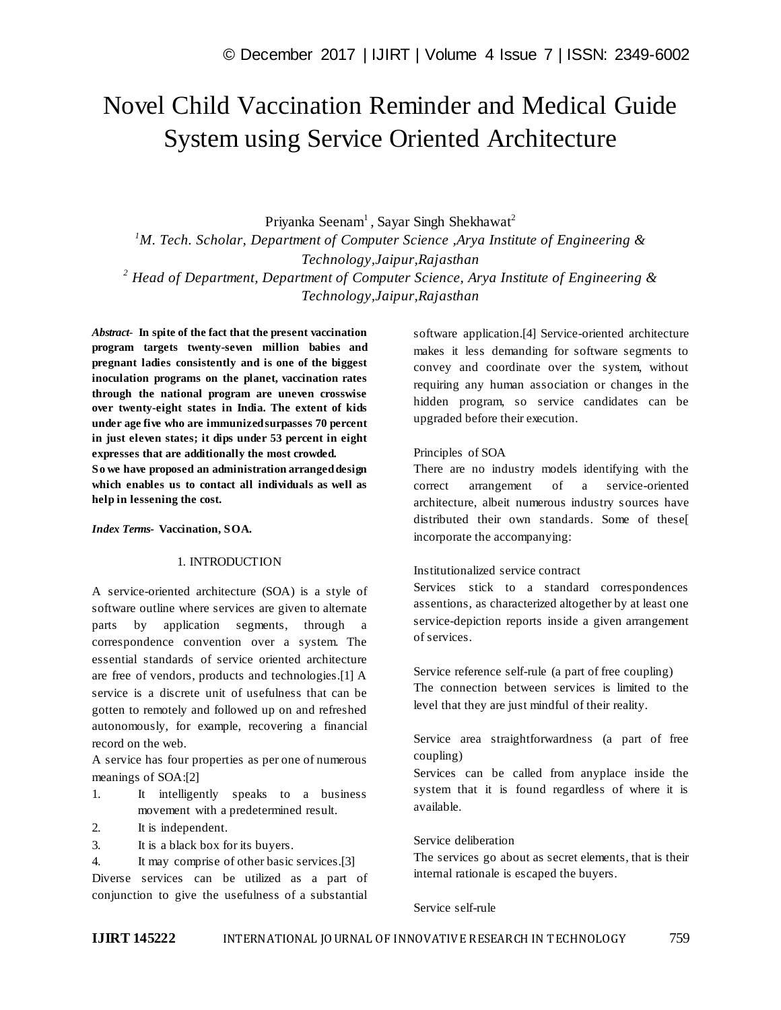# Novel Child Vaccination Reminder and Medical Guide System using Service Oriented Architecture

Priyanka Seenam<sup>1</sup>, Sayar Singh Shekhawat<sup>2</sup>

*<sup>1</sup>M. Tech. Scholar, Department of Computer Science ,Arya Institute of Engineering & Technology,Jaipur,Rajasthan <sup>2</sup> Head of Department, Department of Computer Science, Arya Institute of Engineering & Technology,Jaipur,Rajasthan*

*Abstract*- **In spite of the fact that the present vaccination program targets twenty-seven million babies and pregnant ladies consistently and is one of the biggest inoculation programs on the planet, vaccination rates through the national program are uneven crosswise over twenty-eight states in India. The extent of kids under age five who are immunized surpasses 70 percent in just eleven states; it dips under 53 percent in eight expresses that are additionally the most crowded. So we have proposed an administration arranged design which enables us to contact all individuals as well as help in lessening the cost.**

*Index Terms***- Vaccination, SOA.**

## 1. INTRODUCTION

A service-oriented architecture (SOA) is a style of software outline where services are given to alternate parts by application segments, through a correspondence convention over a system. The essential standards of service oriented architecture are free of vendors, products and technologies.[1] A service is a discrete unit of usefulness that can be gotten to remotely and followed up on and refreshed autonomously, for example, recovering a financial record on the web.

A service has four properties as per one of numerous meanings of SOA:[2]

- 1. It intelligently speaks to a business movement with a predetermined result.
- 2. It is independent.
- 3. It is a black box for its buyers.

4. It may comprise of other basic services.[3]

Diverse services can be utilized as a part of conjunction to give the usefulness of a substantial

software application.[4] Service-oriented architecture makes it less demanding for software segments to convey and coordinate over the system, without requiring any human association or changes in the hidden program, so service candidates can be upgraded before their execution.

#### Principles of SOA

There are no industry models identifying with the correct arrangement of a service-oriented architecture, albeit numerous industry sources have distributed their own standards. Some of these[ incorporate the accompanying:

### Institutionalized service contract

Services stick to a standard correspondences assentions, as characterized altogether by at least one service-depiction reports inside a given arrangement of services.

Service reference self-rule (a part of free coupling) The connection between services is limited to the level that they are just mindful of their reality.

Service area straightforwardness (a part of free coupling)

Services can be called from anyplace inside the system that it is found regardless of where it is available.

## Service deliberation

The services go about as secret elements, that is their internal rationale is escaped the buyers.

#### Service self-rule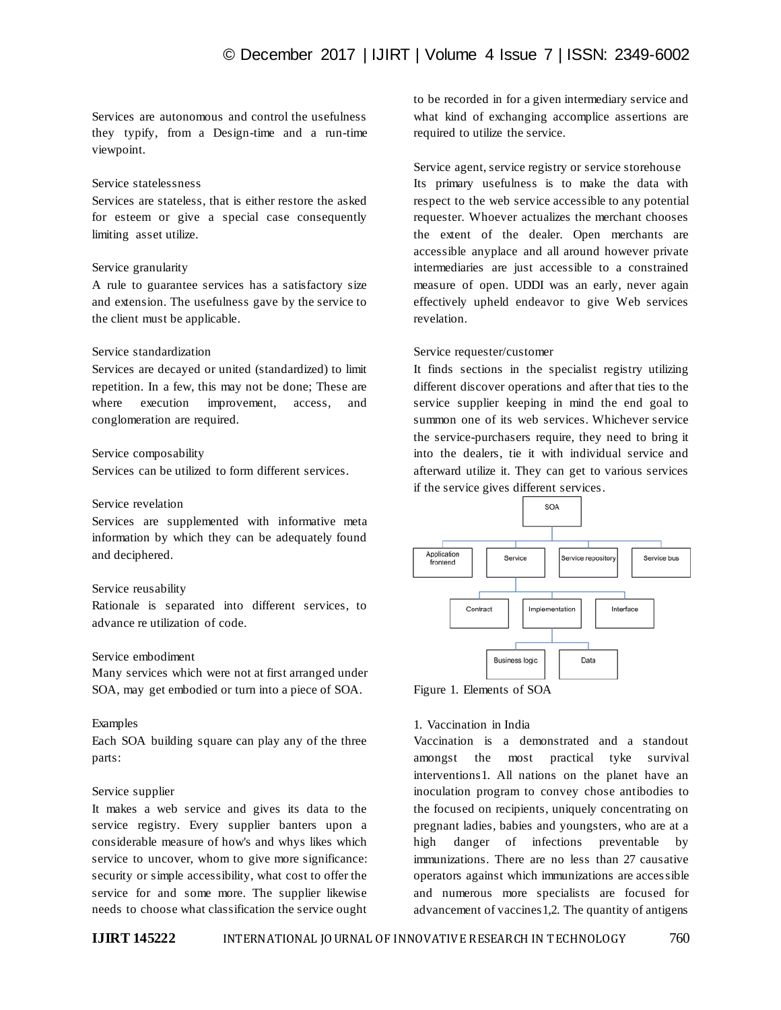Services are autonomous and control the usefulness they typify, from a Design-time and a run-time viewpoint.

## Service statelessness

Services are stateless, that is either restore the asked for esteem or give a special case consequently limiting asset utilize.

### Service granularity

A rule to guarantee services has a satisfactory size and extension. The usefulness gave by the service to the client must be applicable.

## Service standardization

Services are decayed or united (standardized) to limit repetition. In a few, this may not be done; These are where execution improvement, access, and conglomeration are required.

#### Service composability

Services can be utilized to form different services.

## Service revelation

Services are supplemented with informative meta information by which they can be adequately found and deciphered.

## Service reusability

Rationale is separated into different services, to advance re utilization of code.

## Service embodiment

Many services which were not at first arranged under SOA, may get embodied or turn into a piece of SOA.

## Examples

Each SOA building square can play any of the three parts:

## Service supplier

It makes a web service and gives its data to the service registry. Every supplier banters upon a considerable measure of how's and whys likes which service to uncover, whom to give more significance: security or simple accessibility, what cost to offer the service for and some more. The supplier likewise needs to choose what classification the service ought to be recorded in for a given intermediary service and what kind of exchanging accomplice assertions are required to utilize the service.

Service agent, service registry or service storehouse Its primary usefulness is to make the data with respect to the web service accessible to any potential requester. Whoever actualizes the merchant chooses the extent of the dealer. Open merchants are accessible anyplace and all around however private intermediaries are just accessible to a constrained measure of open. UDDI was an early, never again effectively upheld endeavor to give Web services revelation.

#### Service requester/customer

It finds sections in the specialist registry utilizing different discover operations and after that ties to the service supplier keeping in mind the end goal to summon one of its web services. Whichever service the service-purchasers require, they need to bring it into the dealers, tie it with individual service and afterward utilize it. They can get to various services if the service gives different services.





## 1. Vaccination in India

Vaccination is a demonstrated and a standout amongst the most practical tyke survival interventions1. All nations on the planet have an inoculation program to convey chose antibodies to the focused on recipients, uniquely concentrating on pregnant ladies, babies and youngsters, who are at a high danger of infections preventable by immunizations. There are no less than 27 causative operators against which immunizations are accessible and numerous more specialists are focused for advancement of vaccines1,2. The quantity of antigens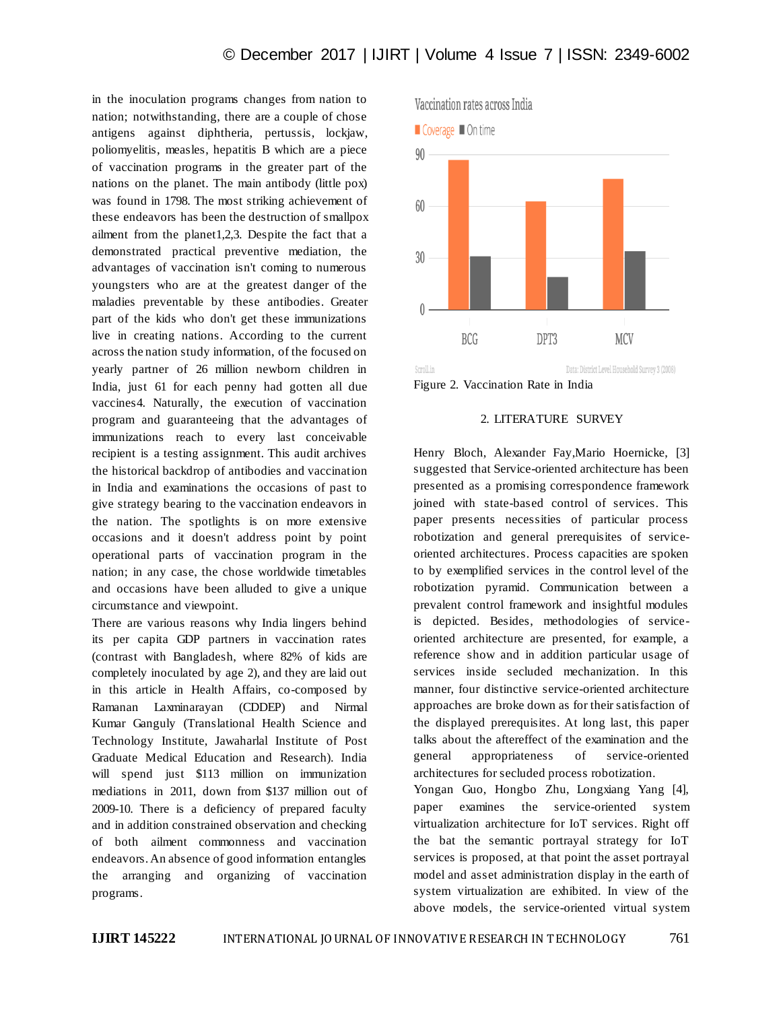in the inoculation programs changes from nation to nation; notwithstanding, there are a couple of chose antigens against diphtheria, pertussis, lockjaw, poliomyelitis, measles, hepatitis B which are a piece of vaccination programs in the greater part of the nations on the planet. The main antibody (little pox) was found in 1798. The most striking achievement of these endeavors has been the destruction of smallpox ailment from the planet1,2,3. Despite the fact that a demonstrated practical preventive mediation, the advantages of vaccination isn't coming to numerous youngsters who are at the greatest danger of the maladies preventable by these antibodies. Greater part of the kids who don't get these immunizations live in creating nations. According to the current across the nation study information, of the focused on yearly partner of 26 million newborn children in India, just 61 for each penny had gotten all due vaccines4. Naturally, the execution of vaccination program and guaranteeing that the advantages of immunizations reach to every last conceivable recipient is a testing assignment. This audit archives the historical backdrop of antibodies and vaccination in India and examinations the occasions of past to give strategy bearing to the vaccination endeavors in the nation. The spotlights is on more extensive occasions and it doesn't address point by point operational parts of vaccination program in the nation; in any case, the chose worldwide timetables and occasions have been alluded to give a unique circumstance and viewpoint.

There are various reasons why India lingers behind its per capita GDP partners in vaccination rates (contrast with Bangladesh, where 82% of kids are completely inoculated by age 2), and they are laid out in this article in Health Affairs, co-composed by Ramanan Laxminarayan (CDDEP) and Nirmal Kumar Ganguly (Translational Health Science and Technology Institute, Jawaharlal Institute of Post Graduate Medical Education and Research). India will spend just \$113 million on immunization mediations in 2011, down from \$137 million out of 2009-10. There is a deficiency of prepared faculty and in addition constrained observation and checking of both ailment commonness and vaccination endeavors. An absence of good information entangles the arranging and organizing of vaccination programs.



Figure 2. Vaccination Rate in India

## 2. LITERATURE SURVEY

Henry Bloch, Alexander Fay,Mario Hoernicke, [3] suggested that Service-oriented architecture has been presented as a promising correspondence framework joined with state-based control of services. This paper presents necessities of particular process robotization and general prerequisites of serviceoriented architectures. Process capacities are spoken to by exemplified services in the control level of the robotization pyramid. Communication between a prevalent control framework and insightful modules is depicted. Besides, methodologies of serviceoriented architecture are presented, for example, a reference show and in addition particular usage of services inside secluded mechanization. In this manner, four distinctive service-oriented architecture approaches are broke down as for their satisfaction of the displayed prerequisites. At long last, this paper talks about the aftereffect of the examination and the general appropriateness of service-oriented architectures for secluded process robotization.

Yongan Guo, Hongbo Zhu, Longxiang Yang [4], paper examines the service-oriented system virtualization architecture for IoT services. Right off the bat the semantic portrayal strategy for IoT services is proposed, at that point the asset portrayal model and asset administration display in the earth of system virtualization are exhibited. In view of the above models, the service-oriented virtual system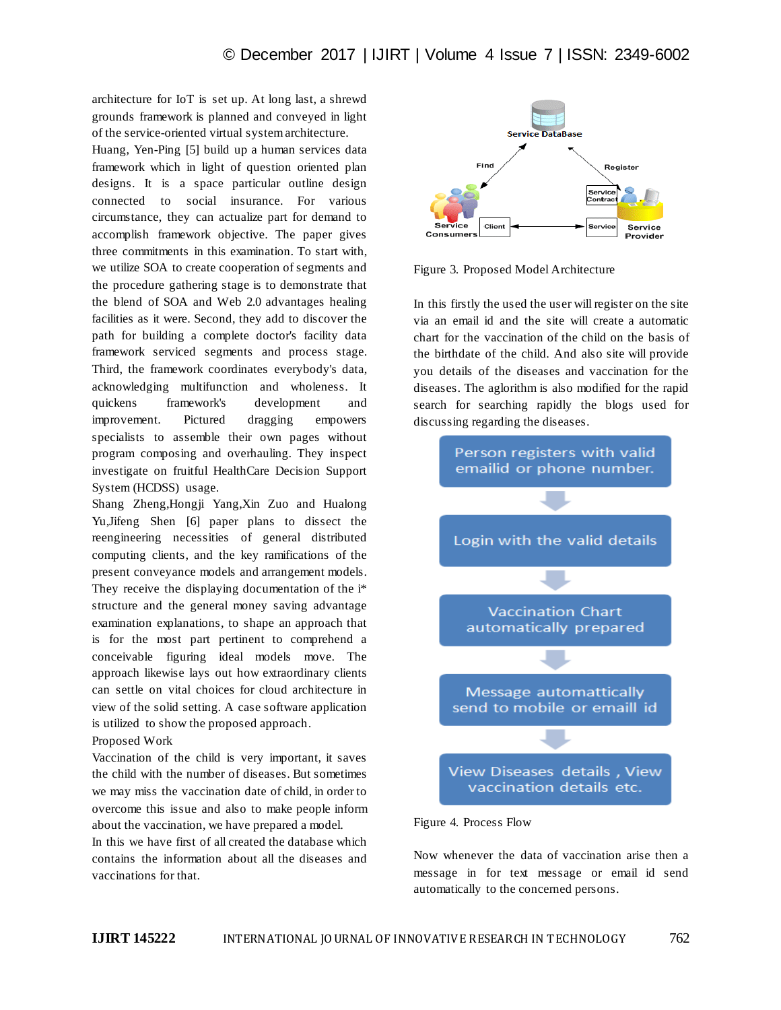architecture for IoT is set up. At long last, a shrewd grounds framework is planned and conveyed in light of the service-oriented virtual system architecture.

Huang, Yen-Ping [5] build up a human services data framework which in light of question oriented plan designs. It is a space particular outline design connected to social insurance. For various circumstance, they can actualize part for demand to accomplish framework objective. The paper gives three commitments in this examination. To start with, we utilize SOA to create cooperation of segments and the procedure gathering stage is to demonstrate that the blend of SOA and Web 2.0 advantages healing facilities as it were. Second, they add to discover the path for building a complete doctor's facility data framework serviced segments and process stage. Third, the framework coordinates everybody's data, acknowledging multifunction and wholeness. It quickens framework's development and improvement. Pictured dragging empowers specialists to assemble their own pages without program composing and overhauling. They inspect investigate on fruitful HealthCare Decision Support System (HCDSS) usage.

Shang Zheng,Hongji Yang,Xin Zuo and Hualong Yu,Jifeng Shen [6] paper plans to dissect the reengineering necessities of general distributed computing clients, and the key ramifications of the present conveyance models and arrangement models. They receive the displaying documentation of the i\* structure and the general money saving advantage examination explanations, to shape an approach that is for the most part pertinent to comprehend a conceivable figuring ideal models move. The approach likewise lays out how extraordinary clients can settle on vital choices for cloud architecture in view of the solid setting. A case software application is utilized to show the proposed approach.

### Proposed Work

Vaccination of the child is very important, it saves the child with the number of diseases. But sometimes we may miss the vaccination date of child, in order to overcome this issue and also to make people inform about the vaccination, we have prepared a model.

In this we have first of all created the database which contains the information about all the diseases and vaccinations for that.



Figure 3. Proposed Model Architecture

In this firstly the used the user will register on the site via an email id and the site will create a automatic chart for the vaccination of the child on the basis of the birthdate of the child. And also site will provide you details of the diseases and vaccination for the diseases. The aglorithm is also modified for the rapid search for searching rapidly the blogs used for discussing regarding the diseases.



Figure 4. Process Flow

Now whenever the data of vaccination arise then a message in for text message or email id send automatically to the concerned persons.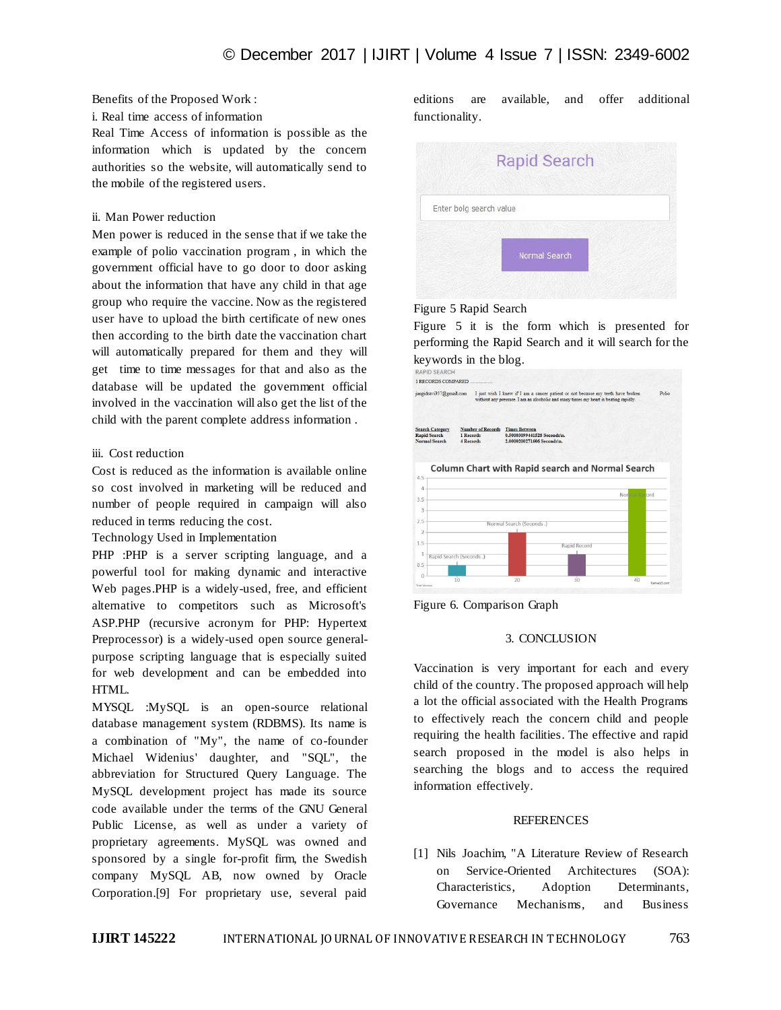## Benefits of the Proposed Work :

#### i. Real time access of information

Real Time Access of information is possible as the information which is updated by the concern authorities so the website, will automatically send to the mobile of the registered users.

## ii. Man Power reduction

Men power is reduced in the sense that if we take the example of polio vaccination program , in which the government official have to go door to door asking about the information that have any child in that age group who require the vaccine. Now as the registered user have to upload the birth certificate of new ones then according to the birth date the vaccination chart will automatically prepared for them and they will get time to time messages for that and also as the database will be updated the government official involved in the vaccination will also get the list of the child with the parent complete address information .

#### iii. Cost reduction

Cost is reduced as the information is available online so cost involved in marketing will be reduced and number of people required in campaign will also reduced in terms reducing the cost.

Technology Used in Implementation

PHP :PHP is a server scripting language, and a powerful tool for making dynamic and interactive Web pages.PHP is a widely-used, free, and efficient alternative to competitors such as Microsoft's ASP.PHP (recursive acronym for PHP: Hypertext Preprocessor) is a widely-used open source generalpurpose scripting language that is especially suited for web development and can be embedded into HTML.

MYSQL :MySQL is an open-source relational database management system (RDBMS). Its name is a combination of "My", the name of co-founder Michael Widenius' daughter, and "SQL", the abbreviation for Structured Query Language. The MySQL development project has made its source code available under the terms of the GNU General Public License, as well as under a variety of proprietary agreements. MySQL was owned and sponsored by a single for-profit firm, the Swedish company MySQL AB, now owned by Oracle Corporation.[9] For proprietary use, several paid

editions are available, and offer additional functionality.

|                         | <b>Rapid Search</b> |  |
|-------------------------|---------------------|--|
| Enter bolg search value |                     |  |
|                         | Normal Search       |  |
|                         |                     |  |

## Figure 5 Rapid Search

Figure 5 it is the form which is presented for performing the Rapid Search and it will search for the keywords in the blog.





## 3. CONCLUSION

Vaccination is very important for each and every child of the country. The proposed approach will help a lot the official associated with the Health Programs to effectively reach the concern child and people requiring the health facilities. The effective and rapid search proposed in the model is also helps in searching the blogs and to access the required information effectively.

### **REFERENCES**

[1] Nils Joachim, "A Literature Review of Research on Service-Oriented Architectures (SOA): Characteristics, Adoption Determinants, Governance Mechanisms, and Business